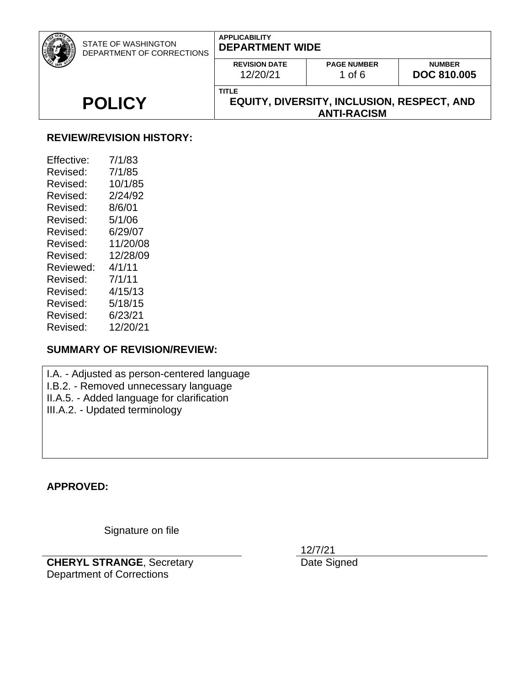| <b>STATE OF WASHINGTON</b><br>DEPARTMENT OF CORRECTIONS | <b>APPLICABILITY</b><br><b>DEPARTMENT WIDE</b>                    |                                |                                     |  |
|---------------------------------------------------------|-------------------------------------------------------------------|--------------------------------|-------------------------------------|--|
|                                                         | <b>REVISION DATE</b><br>12/20/21                                  | <b>PAGE NUMBER</b><br>1 of $6$ | <b>NUMBER</b><br><b>DOC 810,005</b> |  |
| <b>POLICY</b>                                           | <b>TITLE</b><br><b>EQUITY, DIVERSITY, INCLUSION, RESPECT, AND</b> |                                |                                     |  |
|                                                         | <b>ANTI-RACISM</b>                                                |                                |                                     |  |

### **REVIEW/REVISION HISTORY:**

| Effective: | 7/1/83   |
|------------|----------|
| Revised:   | 7/1/85   |
| Revised:   | 10/1/85  |
| Revised:   | 2/24/92  |
| Revised:   | 8/6/01   |
| Revised:   | 5/1/06   |
| Revised:   | 6/29/07  |
| Revised:   | 11/20/08 |
| Revised:   | 12/28/09 |
| Reviewed:  | 4/1/11   |
| Revised:   | 7/1/11   |
| Revised:   | 4/15/13  |
| Revised:   | 5/18/15  |
| Revised:   | 6/23/21  |
| Revised:   | 12/20/21 |

## **SUMMARY OF REVISION/REVIEW:**

I.A. - Adjusted as person-centered language I.B.2. - Removed unnecessary language II.A.5. - Added language for clarification III.A.2. - Updated terminology

**APPROVED:**

Signature on file

**CHERYL STRANGE**, Secretary Department of Corrections

12/7/21

Date Signed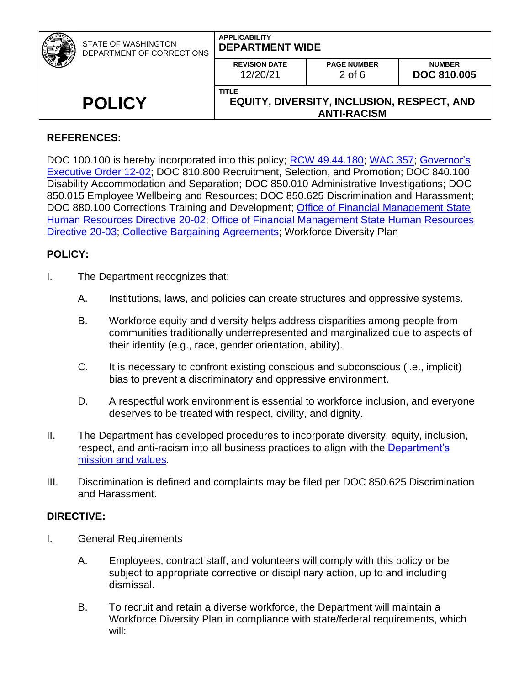|               | <b>STATE OF WASHINGTON</b><br>DEPARTMENT OF CORRECTIONS | <b>APPLICABILITY</b><br><b>DEPARTMENT WIDE</b>                                          |                                |                                     |
|---------------|---------------------------------------------------------|-----------------------------------------------------------------------------------------|--------------------------------|-------------------------------------|
|               |                                                         | <b>REVISION DATE</b><br>12/20/21                                                        | <b>PAGE NUMBER</b><br>$2$ of 6 | <b>NUMBER</b><br><b>DOC 810,005</b> |
| <b>POLICY</b> |                                                         | <b>TITLE</b><br><b>EQUITY, DIVERSITY, INCLUSION, RESPECT, AND</b><br><b>ANTI-RACISM</b> |                                |                                     |

## **REFERENCES:**

DOC 100.100 is hereby incorporated into this policy; [RCW 49.44.180;](http://apps.leg.wa.gov/RCW/default.aspx?cite=49.44.180) [WAC](http://apps.leg.wa.gov/WAC/default.aspx?cite=357) 357; Governor's [Executive Order 12-02;](http://www.governor.wa.gov/sites/default/files/exe_order/eo_12-02.pdf) DOC 810.800 Recruitment, Selection, and Promotion; DOC 840.100 Disability Accommodation and Separation; DOC 850.010 Administrative Investigations; DOC 850.015 Employee Wellbeing and Resources; DOC 850.625 Discrimination and Harassment; DOC 880.100 Corrections Training and Development; [Office of Financial Management State](https://www.ofm.wa.gov/sites/default/files/public/shr/Directives/WorkforceDiversityDirective.pdf) [Human Resources Directive 20-02;](https://www.ofm.wa.gov/sites/default/files/public/shr/Directives/WorkforceDiversityDirective.pdf) [Office of Financial Management State Human Resources](https://www.ofm.wa.gov/sites/default/files/public/shr/Directives/SHR-Directive-20-03.pdf)  [Directive 20-03;](https://www.ofm.wa.gov/sites/default/files/public/shr/Directives/SHR-Directive-20-03.pdf) [Collective Bargaining Agreements;](https://ofm.wa.gov/state-human-resources/labor-relations/collective-bargaining-agreements) Workforce Diversity Plan

## **POLICY:**

- I. The Department recognizes that:
	- A. Institutions, laws, and policies can create structures and oppressive systems.
	- B. Workforce equity and diversity helps address disparities among people from communities traditionally underrepresented and marginalized due to aspects of their identity (e.g., race, gender orientation, ability).
	- C. It is necessary to confront existing conscious and subconscious (i.e., implicit) bias to prevent a discriminatory and oppressive environment.
	- D. A respectful work environment is essential to workforce inclusion, and everyone deserves to be treated with respect, civility, and dignity.
- II. The Department has developed procedures to incorporate diversity, equity, inclusion, respect, and anti-racism into all business practices to align with the Department's [mission and values.](https://doc.wa.gov/about/agency/mission.htm)
- III. Discrimination is defined and complaints may be filed per DOC 850.625 Discrimination and Harassment.

## **DIRECTIVE:**

- I. General Requirements
	- A. Employees, contract staff, and volunteers will comply with this policy or be subject to appropriate corrective or disciplinary action, up to and including dismissal.
	- B. To recruit and retain a diverse workforce, the Department will maintain a Workforce Diversity Plan in compliance with state/federal requirements, which will: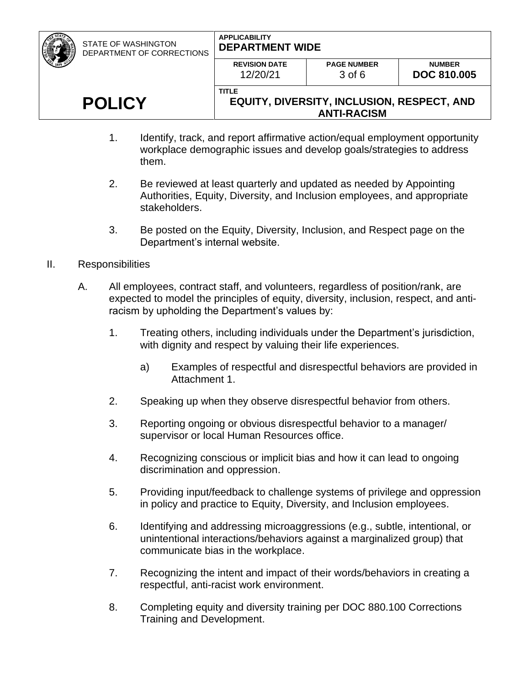STATE OF WASHINGTON

#### **APPLICABILITY DEPARTMENT WIDE**

| DEPARTMENT OF CORRECTIONS | PEL AINTHENT WIPE                |                                                                         |                                     |
|---------------------------|----------------------------------|-------------------------------------------------------------------------|-------------------------------------|
|                           | <b>REVISION DATE</b><br>12/20/21 | <b>PAGE NUMBER</b><br>$3$ of 6                                          | <b>NUMBER</b><br><b>DOC 810,005</b> |
| <b>POLICY</b>             | <b>TITLE</b>                     | <b>EQUITY, DIVERSITY, INCLUSION, RESPECT, AND</b><br><b>ANTI-RACISM</b> |                                     |

- 1. Identify, track, and report affirmative action/equal employment opportunity workplace demographic issues and develop goals/strategies to address them.
- 2. Be reviewed at least quarterly and updated as needed by Appointing Authorities, Equity, Diversity, and Inclusion employees, and appropriate stakeholders.
- 3. Be posted on the Equity, Diversity, Inclusion, and Respect page on the Department's internal website.
- II. Responsibilities
	- A. All employees, contract staff, and volunteers, regardless of position/rank, are expected to model the principles of equity, diversity, inclusion, respect, and antiracism by upholding the Department's values by:
		- 1. Treating others, including individuals under the Department's jurisdiction, with dignity and respect by valuing their life experiences.
			- a) Examples of respectful and disrespectful behaviors are provided in Attachment 1.
		- 2. Speaking up when they observe disrespectful behavior from others.
		- 3. Reporting ongoing or obvious disrespectful behavior to a manager/ supervisor or local Human Resources office.
		- 4. Recognizing conscious or implicit bias and how it can lead to ongoing discrimination and oppression.
		- 5. Providing input/feedback to challenge systems of privilege and oppression in policy and practice to Equity, Diversity, and Inclusion employees.
		- 6. Identifying and addressing microaggressions (e.g., subtle, intentional, or unintentional interactions/behaviors against a marginalized group) that communicate bias in the workplace.
		- 7. Recognizing the intent and impact of their words/behaviors in creating a respectful, anti-racist work environment.
		- 8. Completing equity and diversity training per DOC 880.100 Corrections Training and Development.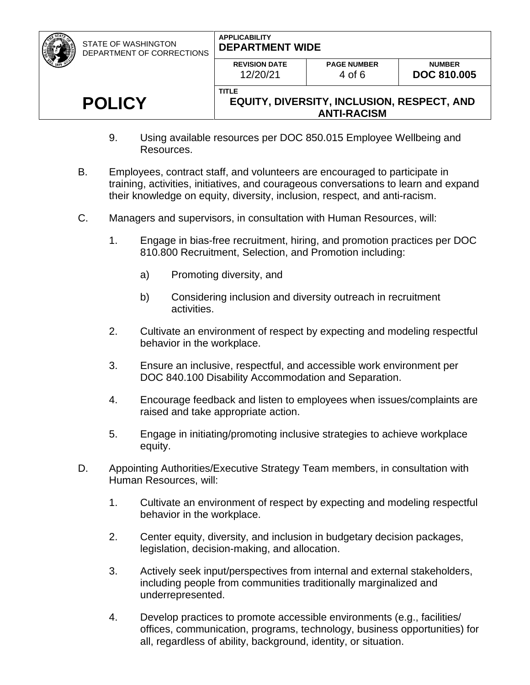| <b>STATE OF WASHINGTON</b><br>DEPARTMENT OF CORRECTIONS | <b>APPLICABILITY</b><br><b>DEPARTMENT WIDE</b>                                          |                              |                                     |  |
|---------------------------------------------------------|-----------------------------------------------------------------------------------------|------------------------------|-------------------------------------|--|
|                                                         | <b>REVISION DATE</b><br>12/20/21                                                        | <b>PAGE NUMBER</b><br>4 of 6 | <b>NUMBER</b><br><b>DOC 810,005</b> |  |
| <b>POLICY</b>                                           | <b>TITLE</b><br><b>EQUITY, DIVERSITY, INCLUSION, RESPECT, AND</b><br><b>ANTI-RACISM</b> |                              |                                     |  |

- 9. Using available resources per DOC 850.015 Employee Wellbeing and Resources.
- B. Employees, contract staff, and volunteers are encouraged to participate in training, activities, initiatives, and courageous conversations to learn and expand their knowledge on equity, diversity, inclusion, respect, and anti-racism.
- C. Managers and supervisors, in consultation with Human Resources, will:
	- 1. Engage in bias-free recruitment, hiring, and promotion practices per DOC 810.800 Recruitment, Selection, and Promotion including:
		- a) Promoting diversity, and
		- b) Considering inclusion and diversity outreach in recruitment activities.
	- 2. Cultivate an environment of respect by expecting and modeling respectful behavior in the workplace.
	- 3. Ensure an inclusive, respectful, and accessible work environment per DOC 840.100 Disability Accommodation and Separation.
	- 4. Encourage feedback and listen to employees when issues/complaints are raised and take appropriate action.
	- 5. Engage in initiating/promoting inclusive strategies to achieve workplace equity.
- D. Appointing Authorities/Executive Strategy Team members, in consultation with Human Resources, will:
	- 1. Cultivate an environment of respect by expecting and modeling respectful behavior in the workplace.
	- 2. Center equity, diversity, and inclusion in budgetary decision packages, legislation, decision-making, and allocation.
	- 3. Actively seek input/perspectives from internal and external stakeholders, including people from communities traditionally marginalized and underrepresented.
	- 4. Develop practices to promote accessible environments (e.g., facilities/ offices, communication, programs, technology, business opportunities) for all, regardless of ability, background, identity, or situation.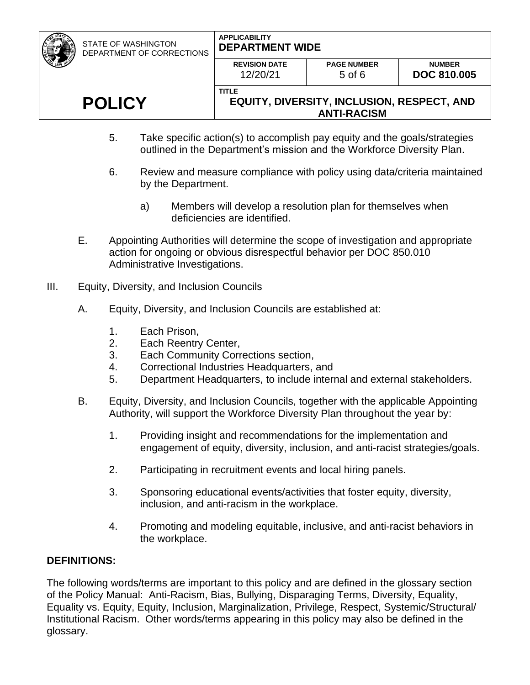STATE OF WASHINGTON

#### **APPLICABILITY DEPARTMENT WIDE**

| DEPARTMENT OF CORRECTIONS | <b>UCPARIMENI WIDE</b>           |                                                                         |                                     |
|---------------------------|----------------------------------|-------------------------------------------------------------------------|-------------------------------------|
|                           | <b>REVISION DATE</b><br>12/20/21 | <b>PAGE NUMBER</b><br>$5$ of 6                                          | <b>NUMBER</b><br><b>DOC 810.005</b> |
| <b>POLICY</b>             | <b>TITLE</b>                     | <b>EQUITY, DIVERSITY, INCLUSION, RESPECT, AND</b><br><b>ANTI-RACISM</b> |                                     |

- 5. Take specific action(s) to accomplish pay equity and the goals/strategies outlined in the Department's mission and the Workforce Diversity Plan.
- 6. Review and measure compliance with policy using data/criteria maintained by the Department.
	- a) Members will develop a resolution plan for themselves when deficiencies are identified.
- E. Appointing Authorities will determine the scope of investigation and appropriate action for ongoing or obvious disrespectful behavior per DOC 850.010 Administrative Investigations.
- III. Equity, Diversity, and Inclusion Councils
	- A. Equity, Diversity, and Inclusion Councils are established at:
		- 1. Each Prison,
		- 2. Each Reentry Center,
		- 3. Each Community Corrections section,
		- 4. Correctional Industries Headquarters, and
		- 5. Department Headquarters, to include internal and external stakeholders.
	- B. Equity, Diversity, and Inclusion Councils, together with the applicable Appointing Authority, will support the Workforce Diversity Plan throughout the year by:
		- 1. Providing insight and recommendations for the implementation and engagement of equity, diversity, inclusion, and anti-racist strategies/goals.
		- 2. Participating in recruitment events and local hiring panels.
		- 3. Sponsoring educational events/activities that foster equity, diversity, inclusion, and anti-racism in the workplace.
		- 4. Promoting and modeling equitable, inclusive, and anti-racist behaviors in the workplace.

## **DEFINITIONS:**

The following words/terms are important to this policy and are defined in the glossary section of the Policy Manual: Anti-Racism, Bias, Bullying, Disparaging Terms, Diversity, Equality, Equality vs. Equity, Equity, Inclusion, Marginalization, Privilege, Respect, Systemic/Structural/ Institutional Racism. Other words/terms appearing in this policy may also be defined in the glossary.